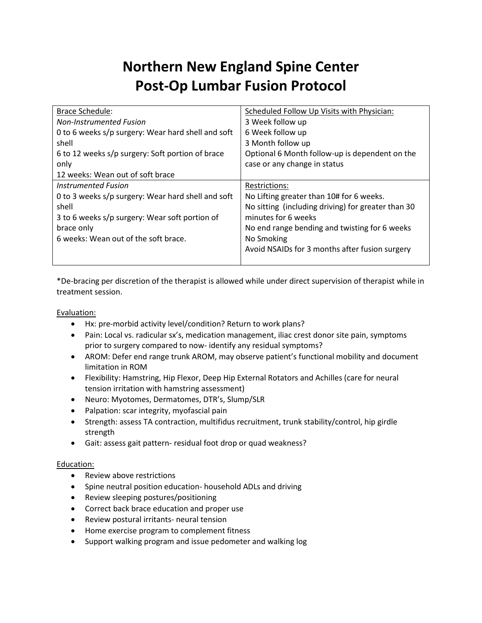# **Northern New England Spine Center Post-Op Lumbar Fusion Protocol**

| Scheduled Follow Up Visits with Physician:         |
|----------------------------------------------------|
| 3 Week follow up                                   |
| 6 Week follow up                                   |
| 3 Month follow up                                  |
| Optional 6 Month follow-up is dependent on the     |
| case or any change in status                       |
|                                                    |
| <b>Restrictions:</b>                               |
| No Lifting greater than 10# for 6 weeks.           |
| No sitting (including driving) for greater than 30 |
| minutes for 6 weeks                                |
| No end range bending and twisting for 6 weeks      |
| No Smoking                                         |
| Avoid NSAIDs for 3 months after fusion surgery     |
|                                                    |
|                                                    |

\*De-bracing per discretion of the therapist is allowed while under direct supervision of therapist while in treatment session.

Evaluation:

- Hx: pre-morbid activity level/condition? Return to work plans?
- Pain: Local vs. radicular sx's, medication management, iliac crest donor site pain, symptoms prior to surgery compared to now- identify any residual symptoms?
- AROM: Defer end range trunk AROM, may observe patient's functional mobility and document limitation in ROM
- Flexibility: Hamstring, Hip Flexor, Deep Hip External Rotators and Achilles (care for neural tension irritation with hamstring assessment)
- Neuro: Myotomes, Dermatomes, DTR's, Slump/SLR
- Palpation: scar integrity, myofascial pain
- Strength: assess TA contraction, multifidus recruitment, trunk stability/control, hip girdle strength
- Gait: assess gait pattern- residual foot drop or quad weakness?

#### Education:

- Review above restrictions
- Spine neutral position education- household ADLs and driving
- Review sleeping postures/positioning
- Correct back brace education and proper use
- Review postural irritants- neural tension
- Home exercise program to complement fitness
- Support walking program and issue pedometer and walking log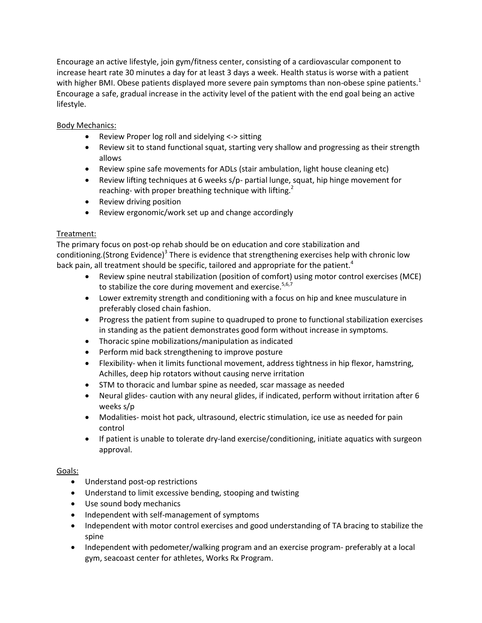Encourage an active lifestyle, join gym/fitness center, consisting of a cardiovascular component to increase heart rate 30 minutes a day for at least 3 days a week. Health status is worse with a patient with higher BMI. Obese patients displayed more severe pain symptoms than non-obese spine patients.<sup>1</sup> Encourage a safe, gradual increase in the activity level of the patient with the end goal being an active lifestyle.

# Body Mechanics:

- Review Proper log roll and sidelying <-> sitting
- Review sit to stand functional squat, starting very shallow and progressing as their strength allows
- Review spine safe movements for ADLs (stair ambulation, light house cleaning etc)
- Review lifting techniques at 6 weeks s/p- partial lunge, squat, hip hinge movement for reaching- with proper breathing technique with lifting.<sup>2</sup>
- Review driving position
- Review ergonomic/work set up and change accordingly

## Treatment:

The primary focus on post-op rehab should be on education and core stabilization and conditioning.(Strong Evidence)<sup>3</sup> There is evidence that strengthening exercises help with chronic low back pain, all treatment should be specific, tailored and appropriate for the patient.<sup>4</sup>

- Review spine neutral stabilization (position of comfort) using motor control exercises (MCE) to stabilize the core during movement and exercise. $5,6,7$
- Lower extremity strength and conditioning with a focus on hip and knee musculature in preferably closed chain fashion.
- Progress the patient from supine to quadruped to prone to functional stabilization exercises in standing as the patient demonstrates good form without increase in symptoms.
- Thoracic spine mobilizations/manipulation as indicated
- Perform mid back strengthening to improve posture
- Flexibility- when it limits functional movement, address tightness in hip flexor, hamstring, Achilles, deep hip rotators without causing nerve irritation
- STM to thoracic and lumbar spine as needed, scar massage as needed
- Neural glides- caution with any neural glides, if indicated, perform without irritation after 6 weeks s/p
- Modalities- moist hot pack, ultrasound, electric stimulation, ice use as needed for pain control
- If patient is unable to tolerate dry-land exercise/conditioning, initiate aquatics with surgeon approval.

## Goals:

- Understand post-op restrictions
- Understand to limit excessive bending, stooping and twisting
- Use sound body mechanics
- Independent with self-management of symptoms
- Independent with motor control exercises and good understanding of TA bracing to stabilize the spine
- Independent with pedometer/walking program and an exercise program- preferably at a local gym, seacoast center for athletes, Works Rx Program.